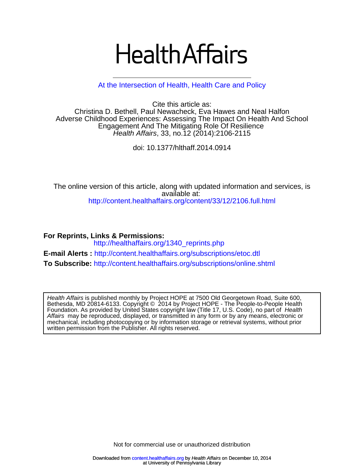# **Health Affairs**

[At the Intersection of Health, Health Care and Policy](http://www.healthaffairs.org)

Health Affairs, 33, no.12 (2014):2106-2115 Engagement And The Mitigating Role Of Resilience Adverse Childhood Experiences: Assessing The Impact On Health And School Christina D. Bethell, Paul Newacheck, Eva Hawes and Neal Halfon Cite this article as:

doi: 10.1377/hlthaff.2014.0914

<http://content.healthaffairs.org/content/33/12/2106.full.html> available at: The online version of this article, along with updated information and services, is

**For Reprints, Links & Permissions:**  [http://healthaffairs.org/1340\\_reprints.php](http://healthaffairs.org/1340_reprints.php) **E-mail Alerts :** <http://content.healthaffairs.org/subscriptions/etoc.dtl> **To Subscribe:** <http://content.healthaffairs.org/subscriptions/online.shtml>

written permission from the Publisher. All rights reserved. mechanical, including photocopying or by information storage or retrieval systems, without prior Affairs may be reproduced, displayed, or transmitted in any form or by any means, electronic or Foundation. As provided by United States copyright law (Title 17, U.S. Code), no part of Health Bethesda, MD 20814-6133. Copyright © 2014 by Project HOPE - The People-to-People Health Health Affairs is published monthly by Project HOPE at 7500 Old Georgetown Road, Suite 600,

Not for commercial use or unauthorized distribution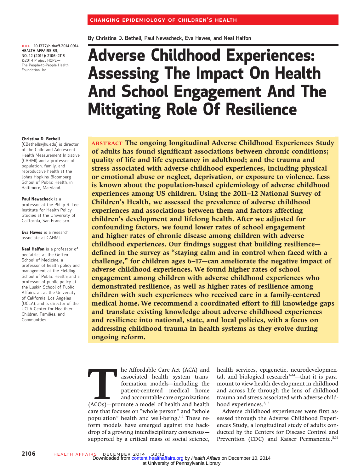By Christina D. Bethell, Paul Newacheck, Eva Hawes, and Neal Halfon

DOI: 10.1377/hlthaff.2014.0914 HEALTH AFFAIRS 33, NO. 12 (2014): 2106–<sup>2115</sup> ©2014 Project HOPE— The People-to-People Health Foundation, Inc.

#### Christina D. Bethell

(CBethell@jhu.edu) is director of the Child and Adolescent Health Measurement Initiative (CAHMI) and a professor of population, family, and reproductive health at the Johns Hopkins Bloomberg School of Public Health, in Baltimore, Maryland.

#### Paul Newacheck is a

professor at the Philip R. Lee Institute for Health Policy Studies at the University of California, San Francisco.

Eva Hawes is a research associate at CAHMI.

Neal Halfon is a professor of pediatrics at the Geffen School of Medicine; a professor of health policy and management at the Fielding School of Public Health; and a professor of public policy at the Luskin School of Public Affairs, all at the University of California, Los Angeles (UCLA), and is director of the UCLA Center for Healthier Children, Families, and Communities.

## Adverse Childhood Experiences: Assessing The Impact On Health And School Engagement And The Mitigating Role Of Resilience

ABSTRACT The ongoing longitudinal Adverse Childhood Experiences Study of adults has found significant associations between chronic conditions; quality of life and life expectancy in adulthood; and the trauma and stress associated with adverse childhood experiences, including physical or emotional abuse or neglect, deprivation, or exposure to violence. Less is known about the population-based epidemiology of adverse childhood experiences among US children. Using the 2011–12 National Survey of Children's Health, we assessed the prevalence of adverse childhood experiences and associations between them and factors affecting children's development and lifelong health. After we adjusted for confounding factors, we found lower rates of school engagement and higher rates of chronic disease among children with adverse childhood experiences. Our findings suggest that building resilience defined in the survey as "staying calm and in control when faced with a challenge," for children ages 6–17—can ameliorate the negative impact of adverse childhood experiences. We found higher rates of school engagement among children with adverse childhood experiences who demonstrated resilience, as well as higher rates of resilience among children with such experiences who received care in a family-centered medical home. We recommend a coordinated effort to fill knowledge gaps and translate existing knowledge about adverse childhood experiences and resilience into national, state, and local policies, with a focus on addressing childhood trauma in health systems as they evolve during ongoing reform.

The Affordable Care Act (ACA) and<br>
associated health system trans-<br>
formation models—including the<br>
patient-centered medical home<br>
and accountable care organizations<br>
(ACOs)—promote a model of health and health associated health system transformation models—including the patient-centered medical home and accountable care organizations care that focuses on "whole person" and "whole population" health and well-being.1,2 These reform models have emerged against the backdrop of a growing interdisciplinary consensus supported by a critical mass of social science, health services, epigenetic, neurodevelopmental, and biological research $3-14$ —that it is paramount to view health development in childhood and across life through the lens of childhood trauma and stress associated with adverse childhood experiences.<sup>2,15</sup>

Adverse childhood experiences were first assessed through the Adverse Childhood Experiences Study, a longitudinal study of adults conducted by the Centers for Disease Control and Prevention (CDC) and Kaiser Permanente.<sup>8,16</sup>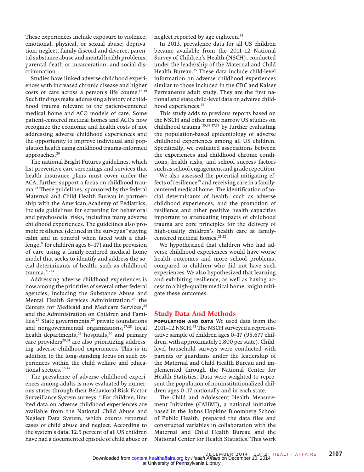These experiences include exposure to violence; emotional, physical, or sexual abuse; deprivation; neglect; family discord and divorce; parental substance abuse and mental health problems; parental death or incarceration; and social discrimination.

Studies have linked adverse childhood experiences with increased chronic disease and higher costs of care across a person's life course.17–<sup>19</sup> Such findings make addressing a history of childhood trauma relevant to the patient-centered medical home and ACO models of care. Some patient-centered medical homes and ACOs now recognize the economic and health costs of not addressing adverse childhood experiences and the opportunity to improve individual and population health using childhood trauma-informed approaches.<sup>20</sup>

The national Bright Futures guidelines, which list preventive care screenings and services that health insurance plans must cover under the ACA, further support a focus on childhood trauma.21 These guidelines, sponsored by the federal Maternal and Child Health Bureau in partnership with the American Academy of Pediatrics, include guidelines for screening for behavioral and psychosocial risks, including many adverse childhood experiences. The guidelines also promote resilience (defined in the survey as "staying calm and in control when faced with a challenge," for children ages 6–17) and the provision of care using a family-centered medical home model that seeks to identify and address the social determinants of health, such as childhood trauma.21–<sup>23</sup>

Addressing adverse childhood experiences is now among the priorities of several other federal agencies, including the Substance Abuse and Mental Health Services Administration,<sup>24</sup> the Centers for Medicaid and Medicare Services,<sup>25</sup> and the Administration on Children and Families.<sup>26</sup> State governments,<sup>20</sup> private foundations and nongovernmental organizations,<sup>27,28</sup> local health departments,<sup>29</sup> hospitals,<sup>30</sup> and primary care providers $29,31$  are also prioritizing addressing adverse childhood experiences. This is in addition to the long-standing focus on such experiences within the child welfare and educational sectors.<sup>32,33</sup>

The prevalence of adverse childhood experiences among adults is now evaluated by numerous states through their Behavioral Risk Factor Surveillance System surveys.<sup>33</sup> For children, limited data on adverse childhood experiences are available from the National Child Abuse and Neglect Data System, which counts reported cases of child abuse and neglect. According to the system's data, 12.5 percent of all US children have had a documented episode of child abuse or neglect reported by age eighteen.<sup>34</sup>

In 2013, prevalence data for all US children became available from the 2011–12 National Survey of Children's Health (NSCH), conducted under the leadership of the Maternal and Child Health Bureau.<sup>35</sup> These data include child-level information on adverse childhood experiences similar to those included in the CDC and Kaiser Permanente adult study. They are the first national and state child-level data on adverse childhood experiences.<sup>36</sup>

This study adds to previous reports based on the NSCH and other more narrow US studies on childhood trauma 30,33,37,38 by further evaluating the population-based epidemiology of adverse childhood experiences among all US children. Specifically, we evaluated associations between the experiences and childhood chronic conditions, health risks, and school success factors such as school engagement and grade repetition.

We also assessed the potential mitigating effects of resilience<sup>39</sup> and receiving care in a familycentered medical home. The identification of social determinants of health, such as adverse childhood experiences, and the promotion of resilience and other positive health capacities important to attenuating impacts of childhood trauma are core principles for the delivery of high-quality children's health care at familycentered medical homes.<sup>21,22</sup>

We hypothesized that children who had adverse childhood experiences would have worse health outcomes and more school problems, compared to children who did not have such experiences.We also hypothesized that learning and exhibiting resilience, as well as having access to a high-quality medical home, might mitigate these outcomes.

#### Study Data And Methods

POPULATION AND DATA We used data from the 2011–12 NSCH.35 The NSCH surveyed a representative sample of children ages 0–17 (95,677 children, with approximately 1,800 per state). Childlevel household surveys were conducted with parents or guardians under the leadership of the Maternal and Child Health Bureau and implemented through the National Center for Health Statistics. Data were weighted to represent the population of noninstitutionalized children ages 0–17 nationally and in each state.

The Child and Adolescent Health Measurement Initiative (CAHMI), a national initiative based in the Johns Hopkins Bloomberg School of Public Health, prepared the data files and constructed variables in collaboration with the Maternal and Child Health Bureau and the National Center for Health Statistics. This work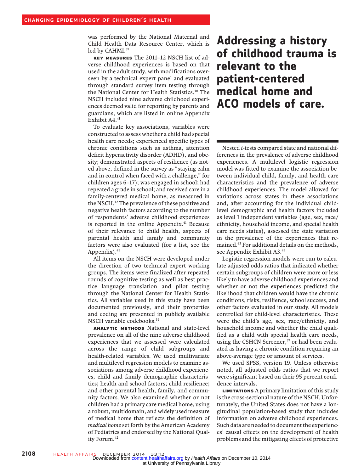was performed by the National Maternal and Child Health Data Resource Center, which is led by CAHMI.<sup>39</sup>

Key Measures The 2011–12 NSCH list of adverse childhood experiences is based on that used in the adult study, with modifications overseen by a technical expert panel and evaluated through standard survey item testing through the National Center for Health Statistics.<sup>40</sup> The NSCH included nine adverse childhood experiences deemed valid for reporting by parents and guardians, which are listed in online Appendix Exhibit A4.41

To evaluate key associations, variables were constructed to assess whether a child had special health care needs; experienced specific types of chronic conditions such as asthma, attention deficit hyperactivity disorder (ADHD), and obesity; demonstrated aspects of resilience (as noted above, defined in the survey as "staying calm and in control when faced with a challenge," for children ages 6–17); was engaged in school; had repeated a grade in school; and received care in a family-centered medical home, as measured in the NSCH.42 The prevalence of these positive and negative health factors according to the number of respondents' adverse childhood experiences is reported in the online Appendix.<sup>41</sup> Because of their relevance to child health, aspects of parental health and family and community factors were also evaluated (for a list, see the Appendix). $41$ 

All items on the NSCH were developed under the direction of two technical expert working groups. The items were finalized after repeated rounds of cognitive testing as well as best practice language translation and pilot testing through the National Center for Health Statistics. All variables used in this study have been documented previously, and their properties and coding are presented in publicly available NSCH variable codebooks.39

Analytic Methods National and state-level prevalence on all of the nine adverse childhood experiences that we assessed were calculated across the range of child subgroups and health-related variables. We used multivariate and multilevel regression models to examine associations among adverse childhood experiences; child and family demographic characteristics; health and school factors; child resilience; and other parental health, family, and community factors. We also examined whether or not children had a primary care medical home, using a robust, multidomain, and widely used measure of medical home that reflects the definition of medical home set forth by the American Academy of Pediatrics and endorsed by the National Quality Forum.<sup>42</sup>

## Addressing a history of childhood trauma is relevant to the patient-centered medical home and ACO models of care.

Nested t-tests compared state and national differences in the prevalence of adverse childhood experiences. A multilevel logistic regression model was fitted to examine the association between individual child, family, and health care characteristics and the prevalence of adverse childhood experiences. The model allowed for variations across states in these associations and, after accounting for the individual childlevel demographic and health factors included as level 1 independent variables (age, sex, race/ ethnicity, household income, and special health care needs status), assessed the state variation in the prevalence of the experiences that remained.<sup>43</sup> For additional details on the methods, see Appendix Exhibit A3.<sup>41</sup>

Logistic regression models were run to calculate adjusted odds ratios that indicated whether certain subgroups of children were more or less likely to have adverse childhood experiences and whether or not the experiences predicted the likelihood that children would have the chronic conditions, risks, resilience, school success, and other factors evaluated in our study. All models controlled for child-level characteristics. These were the child's age, sex, race/ethnicity, and household income and whether the child qualified as a child with special health care needs, using the CSHCN Screener,<sup>37</sup> or had been evaluated as having a chronic condition requiring an above-average type or amount of services.

We used SPSS, version 19. Unless otherwise noted, all adjusted odds ratios that we report were significant based on their 95 percent confidence intervals.

Limitations A primary limitation of this study is the cross-sectional nature of the NSCH. Unfortunately, the United States does not have a longitudinal population-based study that includes information on adverse childhood experiences. Such data are needed to document the experiences' causal effects on the development of health problems and the mitigating effects of protective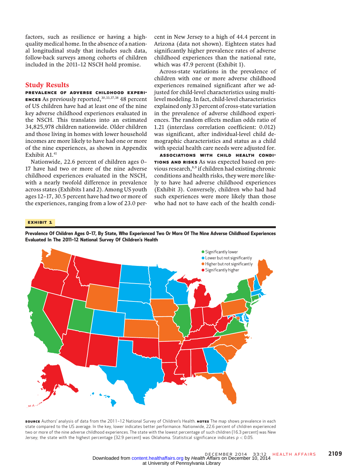factors, such as resilience or having a highquality medical home. In the absence of a national longitudinal study that includes such data, follow-back surveys among cohorts of children included in the 2011–12 NSCH hold promise.

#### Study Results

Prevalence Of Adverse Childhood Experi-**ENCES** As previously reported,  $30,33,37,38$  48 percent of US children have had at least one of the nine key adverse childhood experiences evaluated in the NSCH. This translates into an estimated 34,825,978 children nationwide. Older children and those living in homes with lower household incomes are more likely to have had one or more of the nine experiences, as shown in Appendix Exhibit A1.<sup>41</sup>

Nationwide, 22.6 percent of children ages 0– 17 have had two or more of the nine adverse childhood experiences evaluated in the NSCH, with a nearly twofold difference in prevalence across states (Exhibits 1 and 2). Among US youth ages 12–17, 30.5 percent have had two or more of the experiences, ranging from a low of 23.0 percent in New Jersey to a high of 44.4 percent in Arizona (data not shown). Eighteen states had significantly higher prevalence rates of adverse childhood experiences than the national rate, which was 47.9 percent (Exhibit 1).

Across-state variations in the prevalence of children with one or more adverse childhood experiences remained significant after we adjusted for child-level characteristics using multilevel modeling. In fact, child-level characteristics explained only 33 percent of cross-state variation in the prevalence of adverse childhood experiences. The random effects median odds ratio of 1.21 (interclass correlation coefficient: 0.012) was significant, after individual-level child demographic characteristics and status as a child with special health care needs were adjusted for.

Associations With Child Health Conditions And Risks As was expected based on previous research,<sup>8,9</sup> if children had existing chronic conditions and health risks, they were more likely to have had adverse childhood experiences (Exhibit 3). Conversely, children who had had such experiences were more likely than those who had not to have each of the health condi-

#### Exhibit 1





source Authors' analysis of data from the 2011-12 National Survey of Children's Health. Notes The map shows prevalence in each state compared to the US average. In the key, lower indicates better performance. Nationwide, 22.6 percent of children experienced two or more of the nine adverse childhood experiences. The state with the lowest percentage of such children (16.3 percent) was New Jersey; the state with the highest percentage (32.9 percent) was Oklahoma. Statistical significance indicates  $p < 0.05$ .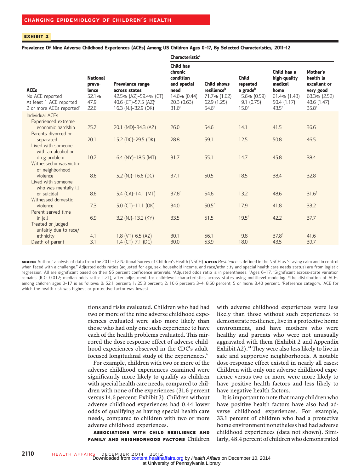#### Exhibit 2

Prevalence Of Nine Adverse Childhood Experiences (ACEs) Among US Children Ages 0–17, By Selected Characteristics, 2011–<sup>12</sup>

|                                                                                                   |                                                             |                                                                                                                       | <b>Characteristic<sup>a</sup></b>                                                                                  |                                                                                              |                                                                                                      |                                                                                               |                                                                                                        |  |
|---------------------------------------------------------------------------------------------------|-------------------------------------------------------------|-----------------------------------------------------------------------------------------------------------------------|--------------------------------------------------------------------------------------------------------------------|----------------------------------------------------------------------------------------------|------------------------------------------------------------------------------------------------------|-----------------------------------------------------------------------------------------------|--------------------------------------------------------------------------------------------------------|--|
| <b>ACEs</b><br>No ACE reported<br>At least 1 ACE reported<br>2 or more ACEs reported <sup>d</sup> | <b>National</b><br>preva-<br>lence<br>52.1%<br>47.9<br>22.6 | Prevalence range<br>across states<br>42.5% (AZ)-59.4% (CT)<br>40.6 (CT)-57.5 (AZ) <sup>c</sup><br>16.3 (NJ)-32.9 (OK) | <b>Child has</b><br>chronic<br>condition<br>and special<br>need<br>14.6% (0.44)<br>20.3(0.63)<br>31.6 <sup>e</sup> | <b>Child shows</b><br><b>resilience</b> b<br>71.7% (1.62)<br>62.9(1.25)<br>$54.6^\mathrm{e}$ | <b>Child</b><br>repeated<br>a grade <sup>b</sup><br>$5.6\%$ (0.59)<br>9.1(0.75)<br>15.0 <sup>e</sup> | Child has a<br>high-quality<br>medical<br>home<br>61.4% (1.43)<br>50.4 (1.17)<br>$43.5^\circ$ | Mother's<br>health is<br>excellent or<br>very good<br>68.3% (2.52)<br>48.6 (1.47)<br>35.8 <sup>e</sup> |  |
| <b>Individual ACEs</b>                                                                            |                                                             |                                                                                                                       |                                                                                                                    |                                                                                              |                                                                                                      |                                                                                               |                                                                                                        |  |
| Experienced extreme<br>economic hardship<br>Parents divorced or                                   | 25.7                                                        | 20.1 (MD)-34.3 (AZ)                                                                                                   | 26.0                                                                                                               | 54.6                                                                                         | 14.1                                                                                                 | 41.5                                                                                          | 36.6                                                                                                   |  |
| separated<br>Lived with someone<br>with an alcohol or                                             | 20.1                                                        | 15.2 (DC)-29.5 (OK)                                                                                                   | 28.8                                                                                                               | 59.1                                                                                         | 12.5                                                                                                 | 50.8                                                                                          | 46.5                                                                                                   |  |
| drug problem<br>Witnessed or was victim<br>of neighborhood                                        | 10.7                                                        | 6.4 (NY)-18.5 (MT)                                                                                                    | 31.7                                                                                                               | 55.1                                                                                         | 14.7                                                                                                 | 45.8                                                                                          | 38.4                                                                                                   |  |
| violence<br>Lived with someone<br>who was mentally ill                                            | 8.6                                                         | $5.2$ (NJ)-16.6 (DC)                                                                                                  | 37.1                                                                                                               | 50.5                                                                                         | 18.5                                                                                                 | 38.4                                                                                          | 32.8                                                                                                   |  |
| or suicidal<br>Witnessed domestic                                                                 | 8.6                                                         | $5.4$ (CA)-14.1 (MT)                                                                                                  | 37.6 <sup>f</sup>                                                                                                  | 54.6                                                                                         | 13.2                                                                                                 | 48.6                                                                                          | 31.6 <sup>f</sup>                                                                                      |  |
| violence<br>Parent served time                                                                    | 7.3                                                         | $5.0$ (CT)-11.1 (OK)                                                                                                  | 34.0                                                                                                               | 50.5 <sup>f</sup>                                                                            | 17.9                                                                                                 | 41.8                                                                                          | 33.2                                                                                                   |  |
| in jail<br>Treated or judged<br>unfairly due to race/                                             | 6.9                                                         | 3.2 (NJ)-13.2 (KY)                                                                                                    | 33.5                                                                                                               | 51.5                                                                                         | 19.5 <sup>f</sup>                                                                                    | 42.2                                                                                          | 37.7                                                                                                   |  |
| ethnicity<br>Death of parent                                                                      | 4.1<br>3.1                                                  | $1.8$ (VT)-6.5 (AZ)<br>$1.4$ (CT)-7.1 (DC)                                                                            | 30.1<br>30.0                                                                                                       | 56.1<br>53.9                                                                                 | 9.8<br>18.0                                                                                          | 37.8 <sup>f</sup><br>43.5                                                                     | 41.6<br>39.7                                                                                           |  |

source Authors' analysis of data from the 2011-12 National Survey of Children's Health (NSCH). Nores Resilience is defined in the NSCH as "staying calm and in control when faced with a challenge." Adjusted odds ratios (adjusted for age, sex, household income, and race/ethnicity and special health care needs status) are from logistic when raced with a challenge. Adjusted odds ratios (adjusted for age, sex, household income, and race/ethnicity and special health care needs status) are from logistic<br>regression. All are significant based on their 95 perce remains (ICC: 0.012; median odds ratio: 1.21), after adjustment for child-level characteristics across states using multilevel modeling. <sup>d</sup> The distribution of ACEs among children ages 0–17 is as follows: 0: 52.1 percent; 1: 25.3 percent; 2: 10.6 percent; 3–4: 8.60 percent; 5 or more: 3.40 percent. <sup>e</sup> Reference category. <sup>f</sup> ACE for which the health risk was highest or protective factor was lowest.

> tions and risks evaluated. Children who had had two or more of the nine adverse childhood experiences evaluated were also more likely than those who had only one such experience to have each of the health problems evaluated. This mirrored the dose-response effect of adverse childhood experiences observed in the CDC's adultfocused longitudinal study of the experiences.6

> For example, children with two or more of the adverse childhood experiences examined were significantly more likely to qualify as children with special health care needs, compared to children with none of the experiences (31.6 percent versus 14.6 percent; Exhibit 3). Children without adverse childhood experiences had 0.44 lower odds of qualifying as having special health care needs, compared to children with two or more adverse childhood experiences.

> Associations With Child Resilience And Family And Neighborhood Factors Children

with adverse childhood experiences were less likely than those without such experiences to demonstrate resilience, live in a protective home environment, and have mothers who were healthy and parents who were not unusually aggravated with them (Exhibit 2 and Appendix Exhibit A2). $41$  They were also less likely to live in safe and supportive neighborhoods. A notable dose-response effect existed in nearly all cases: Children with only one adverse childhood experience versus two or more were more likely to have positive health factors and less likely to have negative health factors.

It is important to note that many children who have positive health factors have also had adverse childhood experiences. For example, 33.1 percent of children who had a protective home environment nonetheless had had adverse childhood experiences (data not shown). Similarly, 48.4 percent of children who demonstrated

at University of Pennsylvania Library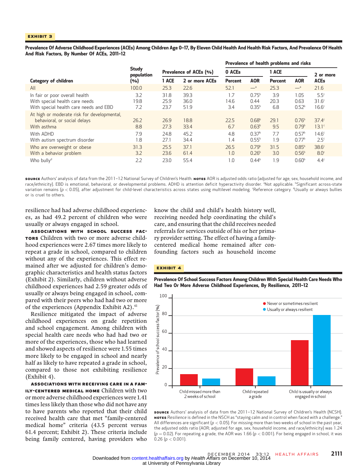Prevalence Of Adverse Childhood Experiences (ACEs) Among Children Age 0–17, By Eleven Child Health And Health Risk Factors, And Prevalence Of Health And Risk Factors, By Number Of ACEs, 2011–<sup>12</sup>

|                                                                                                            |                            |                        |                      | Prevalence of health problems and risks |                                        |                    |                                        |                                                            |
|------------------------------------------------------------------------------------------------------------|----------------------------|------------------------|----------------------|-----------------------------------------|----------------------------------------|--------------------|----------------------------------------|------------------------------------------------------------|
|                                                                                                            | <b>Study</b><br>population | Prevalence of ACEs (%) |                      | 0 ACEs                                  |                                        | 1 ACE              |                                        | 2 or more                                                  |
| <b>Category of children</b>                                                                                | (%)                        | 1 ACE                  | 2 or more ACEs       | Percent                                 | <b>AOR</b>                             | <b>Percent</b>     | <b>AOR</b>                             | <b>ACEs</b>                                                |
| All                                                                                                        | 100.0                      | 25.3                   | 22.6                 | 52.1                                    | $-$ <sup>a</sup>                       | 25.3               | $-$ <sup>a</sup>                       | 21.6                                                       |
| In fair or poor overall health<br>With special health care needs<br>With special health care needs and EBD | 3.2<br>19.8<br>7.2         | 31.8<br>25.9<br>23.7   | 39.3<br>36.0<br>51.9 | 1.7<br>14.6<br>3.4                      | $0.75^{\rm b}$<br>0.44<br>$0.35^{b}$   | 3.9<br>20.3<br>6.8 | 1.05<br>0.63<br>0.52 <sup>b</sup>      | 5.5 <sup>c</sup><br>31.6 <sup>c</sup><br>16.6 <sup>c</sup> |
| At high or moderate risk for developmental,<br>behavioral, or social delays<br>With asthma                 | 26.2<br>8.8                | 26.9<br>27.3           | 18.8<br>33.4         | 22.5<br>6.7                             | 0.68 <sup>b</sup><br>0.63 <sup>b</sup> | 29.1<br>9.5        | 0.76 <sup>b</sup><br>0.79 <sup>b</sup> | 37.4 <sup>c</sup><br>13.1 <sup>c</sup>                     |
| With ADHD<br>With autism spectrum disorder                                                                 | 7.9<br>1.8                 | 24.8<br>27.1           | 45.2<br>34.4         | 4.8<br>1.4                              | 0.37 <sup>b</sup><br>$0.55^{\rm b}$    | 7.7<br>1.9         | 0.57 <sup>b</sup><br>0.77 <sup>b</sup> | 14.6 <sup>c</sup><br>2.5 <sup>c</sup>                      |
| Who are overweight or obese<br>With a behavior problem                                                     | 31.3<br>3.2                | 25.5<br>23.6           | 37.1<br>61.4         | 26.5<br>1.0                             | 0.79 <sup>b</sup><br>0.26 <sup>b</sup> | 31.5<br>3.0        | $0.85^{\rm b}$<br>0.56 <sup>b</sup>    | 38.6 <sup>c</sup><br>8.0 <sup>c</sup>                      |
| Who bully <sup>d</sup>                                                                                     | 2.2                        | 23.0                   | 55.4                 | 1.0                                     | 0.44 <sup>b</sup>                      | 1.9                | 0.60 <sup>b</sup>                      | 4.4 <sup>c</sup>                                           |

sounce Authors' analysis of data from the 2011-12 National Survey of Children's Health. Notes AOR is adjusted odds ratio (adjusted for age, sex, household income, and race/ethnicity). EBD is emotional, behavioral, or developmental problems. ADHD is attention deficit hyperactivity disorder. ®Not applicable. ®Significant across-state variation remains (p < 0.05), after adjustment for child-level characteristics across states using multilevel modeling. 'Reference category. 'Usually or always bullies or is cruel to others.

resilience had had adverse childhood experiences, as had 49.2 percent of children who were usually or always engaged in school.

Associations With School Success Factors Children with two or more adverse childhood experiences were 2.67 times more likely to repeat a grade in school, compared to children without any of the experiences. This effect remained after we adjusted for children's demographic characteristics and health status factors (Exhibit 2). Similarly, children without adverse childhood experiences had 2.59 greater odds of usually or always being engaged in school, compared with their peers who had had two or more of the experiences (Appendix Exhibit A2). $41$ 

Resilience mitigated the impact of adverse childhood experiences on grade repetition and school engagement. Among children with special health care needs who had had two or more of the experiences, those who had learned and showed aspects of resilience were 1.55 times more likely to be engaged in school and nearly half as likely to have repeated a grade in school, compared to those not exhibiting resilience (Exhibit 4).

Associations With Receiving Care In A Family-Centered Medical Home Children with two or more adverse childhood experiences were 1.41 times less likely than those who did not have any to have parents who reported that their child received health care that met "family-centered medical home" criteria (43.5 percent versus 61.4 percent; Exhibit 2). These criteria include being family centered, having providers who

know the child and child's health history well, receiving needed help coordinating the child's care, and ensuring that the child receives needed referrals for services outside of his or her primary provider setting. The effect of having a familycentered medical home remained after confounding factors such as household income

#### Exhibit 4

Prevalence Of School Success Factors Among Children With Special Health Care Needs Who Had Two Or More Adverse Childhood Experiences, By Resilience, 2011–<sup>12</sup>



source Authors' analysis of data from the 2011-12 National Survey of Children's Health (NCSH). NOTES Resilience is defined in the NSCH as "staying calm and in control when faced with a challenge." All differences are significant ( $p < 0.05$ ). For missing more than two weeks of school in the past year, the adjusted odds ratio (AOR; adjusted for age, sex, household income, and race/ethnicity) was 1.24  $(p = 0.02)$ . For repeating a grade, the AOR was 1.66  $(p < 0.001)$ . For being engaged in school, it was 0.26 ( $p < 0.001$ ).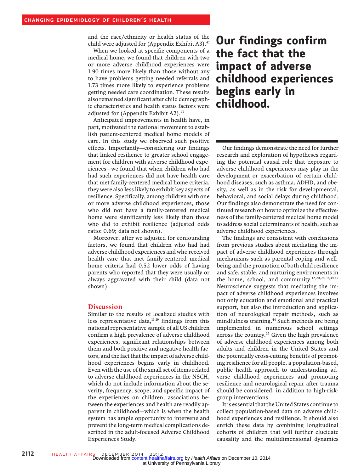and the race/ethnicity or health status of the child were adjusted for (Appendix Exhibit A3).<sup>41</sup>

When we looked at specific components of a medical home, we found that children with two or more adverse childhood experiences were 1.90 times more likely than those without any to have problems getting needed referrals and 1.73 times more likely to experience problems getting needed care coordination. These results also remained significant after child demographic characteristics and health status factors were adjusted for (Appendix Exhibit A2).<sup>41</sup>

Anticipated improvements in health have, in part, motivated the national movement to establish patient-centered medical home models of care. In this study we observed such positive effects. Importantly—considering our findings that linked resilience to greater school engagement for children with adverse childhood experiences—we found that when children who had had such experiences did not have health care that met family-centered medical home criteria, they were also less likely to exhibit key aspects of resilience. Specifically, among children with one or more adverse childhood experiences, those who did not have a family-centered medical home were significantly less likely than those who did to exhibit resilience (adjusted odds ratio: 0.69; data not shown).

Moreover, after we adjusted for confounding factors, we found that children who had had adverse childhood experiences and who received health care that met family-centered medical home criteria had 0.52 lower odds of having parents who reported that they were usually or always aggravated with their child (data not shown).

#### Discussion

Similar to the results of localized studies with less representative data,<sup>13,19</sup> findings from this national representative sample of all US children confirm a high prevalence of adverse childhood experiences, significant relationships between them and both positive and negative health factors, and the fact that the impact of adverse childhood experiences begins early in childhood. Even with the use of the small set of items related to adverse childhood experiences in the NSCH, which do not include information about the severity, frequency, scope, and specific impact of the experiences on children, associations between the experiences and health are readily apparent in childhood—which is when the health system has ample opportunity to intervene and prevent the long-term medical complications described in the adult-focused Adverse Childhood Experiences Study.

## Our findings confirm the fact that the impact of adverse childhood experiences begins early in childhood.

Our findings demonstrate the need for further research and exploration of hypotheses regarding the potential causal role that exposure to adverse childhood experiences may play in the development or exacerbation of certain childhood diseases, such as asthma, ADHD, and obesity, as well as in the risk for developmental, behavioral, and social delays during childhood. Our findings also demonstrate the need for continued research on how to optimize the effectiveness of the family-centered medical home model to address social determinants of health, such as adverse childhood experiences.

The findings are consistent with conclusions from previous studies about mediating the impact of adverse childhood experiences through mechanisms such as parental coping and wellbeing and the promotion of both child resilience and safe, stable, and nurturing environments in the home, school, and community.<sup>12,20,28,37,39,42</sup> Neuroscience suggests that mediating the impact of adverse childhood experiences involves not only education and emotional and practical support, but also the introduction and application of neurological repair methods, such as mindfulness training.<sup>44</sup> Such methods are being implemented in numerous school settings across the country.<sup>25</sup> Given the high prevalence of adverse childhood experiences among both adults and children in the United States and the potentially cross-cutting benefits of promoting resilience for all people, a population-based, public health approach to understanding adverse childhood experiences and promoting resilience and neurological repair after trauma should be considered, in addition to high-riskgroup interventions.

It is essential that the United States continue to collect population-based data on adverse childhood experiences and resilience. It should also enrich these data by combining longitudinal cohorts of children that will further elucidate causality and the multidimensional dynamics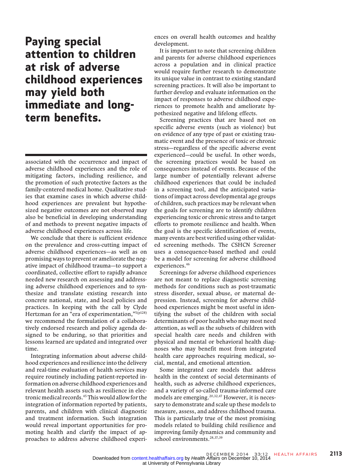## Paying special attention to children at risk of adverse childhood experiences may yield both immediate and longterm benefits.

associated with the occurrence and impact of adverse childhood experiences and the role of mitigating factors, including resilience, and the promotion of such protective factors as the family-centered medical home. Qualitative studies that examine cases in which adverse childhood experiences are prevalent but hypothesized negative outcomes are not observed may also be beneficial in developing understanding of and methods to prevent negative impacts of adverse childhood experiences across life.

We conclude that there is sufficient evidence on the prevalence and cross-cutting impact of adverse childhood experiences—as well as on promising ways to prevent or ameliorate the negative impact of childhood trauma—to support a coordinated, collective effort to rapidly advance needed new research on assessing and addressing adverse childhood experiences and to synthesize and translate existing research into concrete national, state, and local policies and practices. In keeping with the call by Clyde Hertzman for an "era of experimentation,"<sup>5(p128)</sup> we recommend the formulation of a collaboratively endorsed research and policy agenda designed to be enduring, so that priorities and lessons learned are updated and integrated over time.

Integrating information about adverse childhood experiences and resilience into the delivery and real-time evaluation of health services may require routinely including patient-reported information on adverse childhood experiences and relevant health assets such as resilience in electronic medical records.<sup>45</sup> This would allow for the integration of information reported by patients, parents, and children with clinical diagnostic and treatment information. Such integration would reveal important opportunities for promoting health and clarify the impact of approaches to address adverse childhood experiences on overall health outcomes and healthy development.

It is important to note that screening children and parents for adverse childhood experiences across a population and in clinical practice would require further research to demonstrate its unique value in contrast to existing standard screening practices. It will also be important to further develop and evaluate information on the impact of responses to adverse childhood experiences to promote health and ameliorate hypothesized negative and lifelong effects.

Screening practices that are based not on specific adverse events (such as violence) but on evidence of any type of past or existing traumatic event and the presence of toxic or chronic stress—regardless of the specific adverse event experienced—could be useful. In other words, the screening practices would be based on consequences instead of events. Because of the large number of potentially relevant adverse childhood experiences that could be included in a screening tool, and the anticipated variations of impact across developmental age groups of children, such practices may be relevant when the goals for screening are to identify children experiencing toxic or chronic stress and to target efforts to promote resilience and health. When the goal is the specific identification of events, many events are best verified using other validated screening methods. The CSHCN Screener uses a consequence-based method and could be a model for screening for adverse childhood experiences.<sup>46</sup>

Screenings for adverse childhood experiences are not meant to replace diagnostic screening methods for conditions such as post-traumatic stress disorder, sexual abuse, or maternal depression. Instead, screening for adverse childhood experiences might be most useful in identifying the subset of the children with social determinants of poor health who may most need attention, as well as the subsets of children with special health care needs and children with physical and mental or behavioral health diagnoses who may benefit most from integrated health care approaches requiring medical, social, mental, and emotional attention.

Some integrated care models that address health in the context of social determinants of health, such as adverse childhood experiences, and a variety of so-called trauma-informed care models are emerging.<sup>20,32,47</sup> However, it is necessary to demonstrate and scale up these models to measure, assess, and address childhood trauma. This is particularly true of the most promising models related to building child resilience and improving family dynamics and community and school environments.<sup>28,37,39</sup>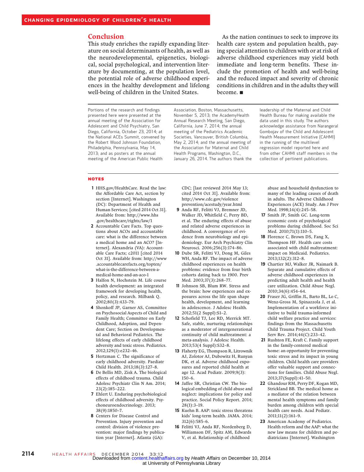#### **Conclusion**

This study enriches the rapidly expanding literature on social determinants of health, as well as the neurodevelopmental, epigenetics, biological, social psychological, and intervention literature by documenting, at the population level, the potential role of adverse childhood experiences in the healthy development and lifelong well-being of children in the United States.

As the nation continues to seek to improve its health care system and population health, paying special attention to children with or at risk of adverse childhood experiences may yield both immediate and long-term benefits. These include the promotion of health and well-being and the reduced impact and severity of chronic conditions in children and in the adults they will become.  $\blacksquare$ 

Portions of the research and findings presented here were presented at the annual meeting of the Association for Adolescent and Child Psychiatry, San Diego, California, October 23, 2014; at the National ACEs Summit, convened by the Robert Wood Johnson Foundation, Philadelphia, Pennsylvania, May 14, 2013; and as posters at the annual meeting of the American Public Health

Association, Boston, Massachusetts, November 5, 2013; the AcademyHealth Annual Research Meeting, San Diego, California, June 7, 2014; the annual meeting of the Pediatrics Academic Societies, Vancouver, British Columbia, May 2, 2014; and the annual meeting of the Association for Maternal and Child Health Programs, Washington, D.C., January 26, 2014. The authors thank the leadership of the Maternal and Child Health Bureau for making available the data used in this study. The authors acknowledge assistance from Narangeral Gombojav of the Child and Adolescent Health Measurement Initiative (CAHMI) in the running of the multilevel regression model reported here and from other CAHMI staff members in the collection of pertinent publications.

#### NOTES

- 1 HHS.gov/HealthCare. Read the law: the Affordable Care Act, section by section [Internet]. Washington (DC): Department of Health and Human Services; [cited 2014 Oct 31]. Available from: http://www.hhs .gov/healthcare/rights/law/1
- 2 Accountable Care Facts. Top questions about ACOs and accountable care: what is the difference between a medical home and an ACO? [Internet]. Alexandria (VA): Accountable Care Facts; c2011 [cited 2014 Oct 31]. Available from: http://www .accountablecarefacts.org/topten/ what-is-the-difference-between-amedical-home-and-an-aco-1
- 3 Halfon N, Hochstein M. Life course health development: an integrated framework for developing health, policy, and research. Milbank Q. 2002;80(3):433–79.
- 4 Shonkoff JP, Garner AS, Committee on Psychosocial Aspects of Child and Family Health; Committee on Early Childhood, Adoption, and Dependent Care; Section on Developmental and Behavioral Pediatrics. The lifelong effects of early childhood adversity and toxic stress. Pediatrics. 2012;129(1):e232–46.
- 5 Hertzman C. The significance of early childhood adversity. Paediatr Child Health. 2013;18(3):127–8.
- 6 De Bellis MD, Zisk A. The biological effects of childhood trauma. Child Adolesc Psychiatr Clin N Am. 2014; 23(2):185–222.
- 7 Ehlert U. Enduring psychobiological effects of childhood adversity. Psychoneuroendocrinology. 2013; 38(9):1850–7.
- 8 Centers for Disease Control and Prevention. Injury prevention and control: division of violence prevention: major findings by publication year [Internet]. Atlanta (GA):

CDC; [last reviewed 2014 May 13; cited 2014 Oct 31]. Available from: http://www.cdc.gov/violence prevention/acestudy/year.html

- 9 Anda RF, Felitti VJ, Bremner JD, Walker JD, Whitfield C, Perry BD, et al. The enduring effects of abuse and related adverse experiences in childhood. A convergence of evidence from neurobiology and epidemiology. Eur Arch Psychiatry Clin Neurosci. 2006;256(3):174–86.
- 10 Dube SR, Felitti VJ, Dong M, Giles WH, Anda RF. The impact of adverse childhood experiences on health problems: evidence from four birth cohorts dating back to 1900. Prev Med. 2003;37(3):268–77.
- 11 Johnson SB, Blum RW. Stress and the brain: how experiences and exposures across the life span shape health, development, and learning in adolescence. J Adolesc Health. 2012;51(2 Suppl):S1–2.
- 12 Schofield TJ, Lee RD, Merrick MT. Safe, stable, nurturing relationships as a moderator of intergenerational continuity of child maltreatment: a meta-analysis. J Adolesc Health. 2013;53(4 Suppl):S32–8.
- 13 Flaherty EG, Thompson R, Litrownik AJ, Zolotor AJ, Dubowitz H, Runyan DK, et al. Adverse childhood exposures and reported child health at age 12. Acad Pediatr. 2009;9(3): 150–6.
- 14 Jaffee SR, Christian CW. The biological embedding of child abuse and neglect: implications for policy and practice. Social Policy Report. 2014; 28(1):3–19.
- 15 Kuehn B. AAP: toxic stress threatens kids' long-term health. JAMA. 2014; 312(6):585–6.
- 16 Felitti VJ, Anda RF, Nordenberg D, Williamson DF, Spitz AM, Edwards V, et al. Relationship of childhood

abuse and household dysfunction to many of the leading causes of death in adults. The Adverse Childhood Experiences (ACE) Study. Am J Prev Med. 1998;14(4):245–58.

- 17 Smith JP, Smith GC. Long-term economic costs of psychological problems during childhood. Soc Sci Med. 2010;71(1):110–5.
- 18 Florence C, Brown DS, Fang X, Thompson HF. Health care costs associated with child maltreatment: impact on Medicaid. Pediatrics. 2013;132(2):312–8.
- 19 Chartier MJ, Walker JR, Naimark B. Separate and cumulative effects of adverse childhood experiences in predicting adult health and health care utilization. Child Abuse Negl. 2010;34(6):454–64.
- 20 Fraser JG, Griffin JL, Barto BL, Lo C, Wenz-Gross M, Spinazzola J, et al. Implementation of a workforce initiative to build trauma-informed child welfare practice and services: findings from the Massachusetts Child Trauma Project. Child Youth Serv Rev. 2014;44(C):233–42.
- 21 Rushton FE, Kraft C. Family support in the family-centered medical home: an opportunity for preventing toxic stress and its impact in young children. Child health care providers offer valuable support and connections for families. Child Abuse Negl. 2013;37(Suppl):41–50.
- 22 Ghandour RM, Perry DF, Kogan MD, Strickland BB. The medical home as a mediator of the relation between mental health symptoms and family burden among children with special health care needs. Acad Pediatr. 2011;11(2):161–9.
- 23 American Academy of Pediatrics. Health reform and the AAP: what the new law means for children and pediatricians [Internet]. Washington